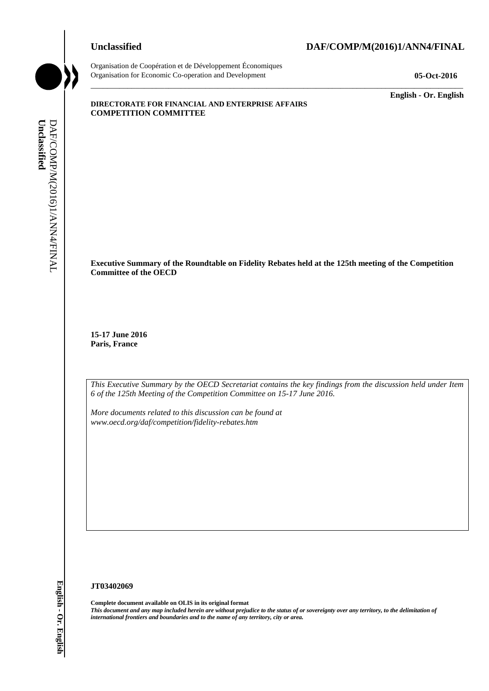

Organisation de Coopération et de Développement Économiques Organisation for Economic Co-operation and Development **05-Oct-2016**

\_\_\_\_\_\_\_\_\_\_\_\_\_ **English - Or. English**

## **DIRECTORATE FOR FINANCIAL AND ENTERPRISE AFFAIRS COMPETITION COMMITTEE**

**Executive Summary of the Roundtable on Fidelity Rebates held at the 125th meeting of the Competition Committee of the OECD** 

\_\_\_\_\_\_\_\_\_\_\_\_\_\_\_\_\_\_\_\_\_\_\_\_\_\_\_\_\_\_\_\_\_\_\_\_\_\_\_\_\_\_\_\_\_\_\_\_\_\_\_\_\_\_\_\_\_\_\_\_\_\_\_\_\_\_\_\_\_\_\_\_\_\_\_\_\_\_\_\_\_\_\_\_\_\_\_\_\_\_\_

**15-17 June 2016 Paris, France** 

*This Executive Summary by the OECD Secretariat contains the key findings from the discussion held under Item 6 of the 125th Meeting of the Competition Committee on 15-17 June 2016.* 

*More documents related to this discussion can be found at www.oecd.org/daf/competition/fidelity-rebates.htm*

### **JT03402069**

**Complete document available on OLIS in its original format** *This document and any map included herein are without prejudice to the status of or sovereignty over any territory, to the delimitation of*  **ii** *international frontiers and boundaries and boundaries and boundaries and DAF/COMP Correlation Computibion Computer and DAF/COMP Correlation considers and DAF/COMP Correlation considers and DAF/COMP (DAF/COMP/M(2016)*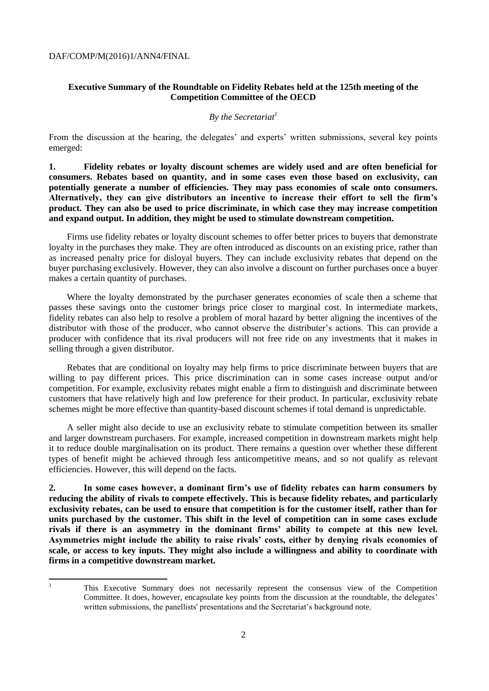## **Executive Summary of the Roundtable on Fidelity Rebates held at the 125th meeting of the Competition Committee of the OECD**

## *By the Secretariat<sup>1</sup>*

From the discussion at the hearing, the delegates' and experts' written submissions, several key points emerged:

**1. Fidelity rebates or loyalty discount schemes are widely used and are often beneficial for consumers. Rebates based on quantity, and in some cases even those based on exclusivity, can potentially generate a number of efficiencies. They may pass economies of scale onto consumers. Alternatively, they can give distributors an incentive to increase their effort to sell the firm's product. They can also be used to price discriminate, in which case they may increase competition and expand output. In addition, they might be used to stimulate downstream competition.**

Firms use fidelity rebates or loyalty discount schemes to offer better prices to buyers that demonstrate loyalty in the purchases they make. They are often introduced as discounts on an existing price, rather than as increased penalty price for disloyal buyers. They can include exclusivity rebates that depend on the buyer purchasing exclusively. However, they can also involve a discount on further purchases once a buyer makes a certain quantity of purchases.

Where the loyalty demonstrated by the purchaser generates economies of scale then a scheme that passes these savings onto the customer brings price closer to marginal cost. In intermediate markets, fidelity rebates can also help to resolve a problem of moral hazard by better aligning the incentives of the distributor with those of the producer, who cannot observe the distributer's actions. This can provide a producer with confidence that its rival producers will not free ride on any investments that it makes in selling through a given distributor.

Rebates that are conditional on loyalty may help firms to price discriminate between buyers that are willing to pay different prices. This price discrimination can in some cases increase output and/or competition. For example, exclusivity rebates might enable a firm to distinguish and discriminate between customers that have relatively high and low preference for their product. In particular, exclusivity rebate schemes might be more effective than quantity-based discount schemes if total demand is unpredictable.

A seller might also decide to use an exclusivity rebate to stimulate competition between its smaller and larger downstream purchasers. For example, increased competition in downstream markets might help it to reduce double marginalisation on its product. There remains a question over whether these different types of benefit might be achieved through less anticompetitive means, and so not qualify as relevant efficiencies. However, this will depend on the facts.

**2. In some cases however, a dominant firm's use of fidelity rebates can harm consumers by reducing the ability of rivals to compete effectively. This is because fidelity rebates, and particularly exclusivity rebates, can be used to ensure that competition is for the customer itself, rather than for units purchased by the customer. This shift in the level of competition can in some cases exclude rivals if there is an asymmetry in the dominant firms' ability to compete at this new level. Asymmetries might include the ability to raise rivals' costs, either by denying rivals economies of scale, or access to key inputs. They might also include a willingness and ability to coordinate with firms in a competitive downstream market.** 

 $\bar{1}$ 

<sup>1</sup> This Executive Summary does not necessarily represent the consensus view of the Competition Committee. It does, however, encapsulate key points from the discussion at the roundtable, the delegates' written submissions, the panellists' presentations and the Secretariat's background note.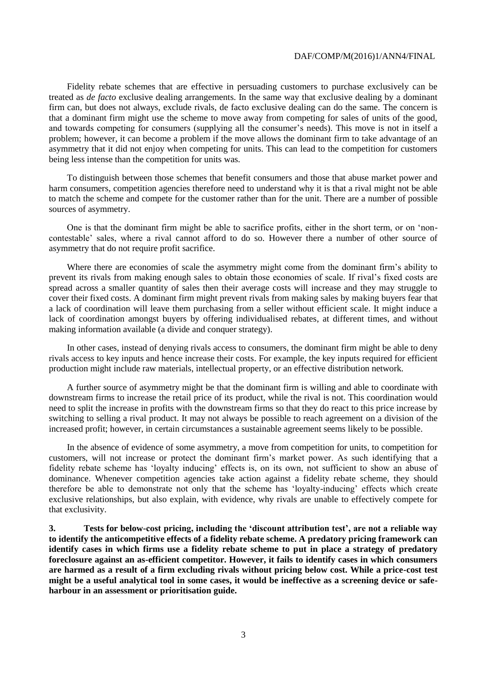#### DAF/COMP/M(2016)1/ANN4/FINAL

Fidelity rebate schemes that are effective in persuading customers to purchase exclusively can be treated as *de facto* exclusive dealing arrangements. In the same way that exclusive dealing by a dominant firm can, but does not always, exclude rivals, de facto exclusive dealing can do the same. The concern is that a dominant firm might use the scheme to move away from competing for sales of units of the good, and towards competing for consumers (supplying all the consumer's needs). This move is not in itself a problem; however, it can become a problem if the move allows the dominant firm to take advantage of an asymmetry that it did not enjoy when competing for units. This can lead to the competition for customers being less intense than the competition for units was.

To distinguish between those schemes that benefit consumers and those that abuse market power and harm consumers, competition agencies therefore need to understand why it is that a rival might not be able to match the scheme and compete for the customer rather than for the unit. There are a number of possible sources of asymmetry.

One is that the dominant firm might be able to sacrifice profits, either in the short term, or on 'noncontestable' sales, where a rival cannot afford to do so. However there a number of other source of asymmetry that do not require profit sacrifice.

Where there are economies of scale the asymmetry might come from the dominant firm's ability to prevent its rivals from making enough sales to obtain those economies of scale. If rival's fixed costs are spread across a smaller quantity of sales then their average costs will increase and they may struggle to cover their fixed costs. A dominant firm might prevent rivals from making sales by making buyers fear that a lack of coordination will leave them purchasing from a seller without efficient scale. It might induce a lack of coordination amongst buyers by offering individualised rebates, at different times, and without making information available (a divide and conquer strategy).

In other cases, instead of denying rivals access to consumers, the dominant firm might be able to deny rivals access to key inputs and hence increase their costs. For example, the key inputs required for efficient production might include raw materials, intellectual property, or an effective distribution network.

A further source of asymmetry might be that the dominant firm is willing and able to coordinate with downstream firms to increase the retail price of its product, while the rival is not. This coordination would need to split the increase in profits with the downstream firms so that they do react to this price increase by switching to selling a rival product. It may not always be possible to reach agreement on a division of the increased profit; however, in certain circumstances a sustainable agreement seems likely to be possible.

In the absence of evidence of some asymmetry, a move from competition for units, to competition for customers, will not increase or protect the dominant firm's market power. As such identifying that a fidelity rebate scheme has 'loyalty inducing' effects is, on its own, not sufficient to show an abuse of dominance. Whenever competition agencies take action against a fidelity rebate scheme, they should therefore be able to demonstrate not only that the scheme has 'loyalty-inducing' effects which create exclusive relationships, but also explain, with evidence, why rivals are unable to effectively compete for that exclusivity.

**3. Tests for below-cost pricing, including the 'discount attribution test', are not a reliable way to identify the anticompetitive effects of a fidelity rebate scheme. A predatory pricing framework can identify cases in which firms use a fidelity rebate scheme to put in place a strategy of predatory foreclosure against an as-efficient competitor. However, it fails to identify cases in which consumers are harmed as a result of a firm excluding rivals without pricing below cost. While a price-cost test might be a useful analytical tool in some cases, it would be ineffective as a screening device or safeharbour in an assessment or prioritisation guide.**